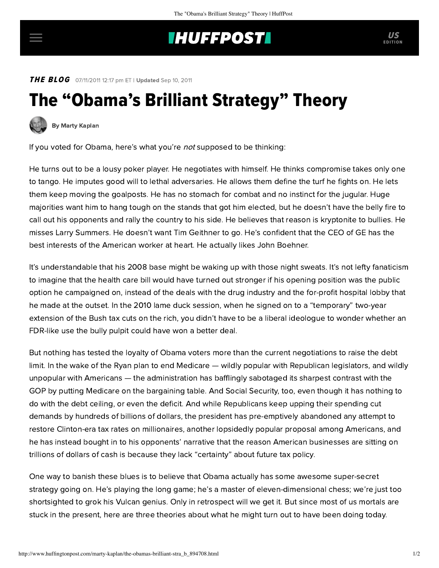## **INUFFPOST**

**THE BLOG** 07/11/2011 12:17 pm ET | Updated Sep 10, 2011

## The "Obama's Brilliant Strategy" Theory



[By Marty Kaplan](http://www.huffingtonpost.com/author/marty-kaplan)

If you voted for Obama, here's what you're not supposed to be thinking:

He turns out to be a lousy poker player. He negotiates with himself. He thinks compromise takes only one to tango. He imputes good will to lethal adversaries. He allows them define the turf he fights on. He lets them keep moving the goalposts. He has no stomach for combat and no instinct for the jugular. Huge majorities want him to hang tough on the stands that got him elected, but he doesn't have the belly fire to call out his opponents and rally the country to his side. He believes that reason is kryptonite to bullies. He misses Larry Summers. He doesn't want Tim Geithner to go. He's confident that the CEO of GE has the best interests of the American worker at heart. He actually likes John Boehner.

It's understandable that his 2008 base might be waking up with those night sweats. It's not lefty fanaticism to imagine that the health care bill would have turned out stronger if his opening position was the public option he campaigned on, instead of the deals with the drug industry and the for-profit hospital lobby that he made at the outset. In the 2010 lame duck session, when he signed on to a "temporary" two-year extension of the Bush tax cuts on the rich, you didn't have to be a liberal ideologue to wonder whether an FDR-like use the bully pulpit could have won a better deal.

But nothing has tested the loyalty of Obama voters more than the current negotiations to raise the debt limit. In the wake of the Ryan plan to end Medicare — wildly popular with Republican legislators, and wildly unpopular with Americans — the administration has bafflingly sabotaged its sharpest contrast with the GOP by putting Medicare on the bargaining table. And Social Security, too, even though it has nothing to do with the debt ceiling, or even the deficit. And while Republicans keep upping their spending cut demands by hundreds of billions of dollars, the president has pre-emptively abandoned any attempt to restore Clinton-era tax rates on millionaires, another lopsidedly popular proposal among Americans, and he has instead bought in to his opponents' narrative that the reason American businesses are sitting on trillions of dollars of cash is because they lack "certainty" about future tax policy.

One way to banish these blues is to believe that Obama actually has some awesome super-secret strategy going on. He's playing the long game; he's a master of eleven-dimensional chess; we're just too shortsighted to grok his Vulcan genius. Only in retrospect will we get it. But since most of us mortals are stuck in the present, here are three theories about what he might turn out to have been doing today.